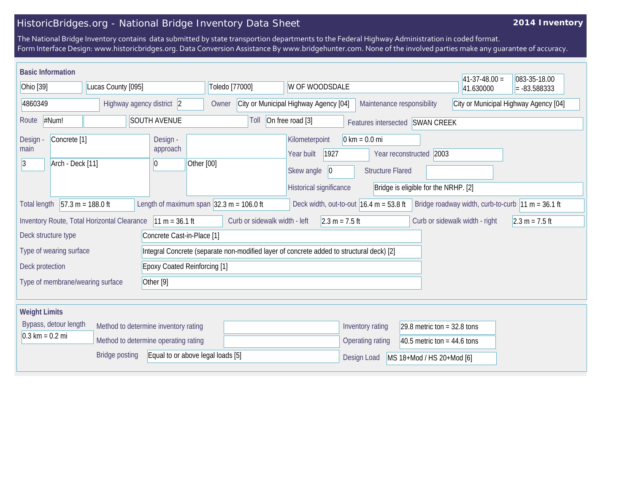## HistoricBridges.org - National Bridge Inventory Data Sheet

## **2014 Inventory**

The National Bridge Inventory contains data submitted by state transportion departments to the Federal Highway Administration in coded format. Form Interface Design: www.historicbridges.org. Data Conversion Assistance By www.bridgehunter.com. None of the involved parties make any guarantee of accuracy.

| <b>Basic Information</b>                                                                          |                                                          |                                             |                                                              |                                                                                                                                                                                                                               |                                                                     |                                                                                          |                                 |                                       | $41-37-48.00 =$                                      | 083-35-18.00     |
|---------------------------------------------------------------------------------------------------|----------------------------------------------------------|---------------------------------------------|--------------------------------------------------------------|-------------------------------------------------------------------------------------------------------------------------------------------------------------------------------------------------------------------------------|---------------------------------------------------------------------|------------------------------------------------------------------------------------------|---------------------------------|---------------------------------------|------------------------------------------------------|------------------|
| Ohio [39]                                                                                         |                                                          | Lucas County [095]                          |                                                              |                                                                                                                                                                                                                               | Toledo [77000]<br>W OF WOODSDALE                                    |                                                                                          |                                 |                                       | 41.630000                                            | $= -83.588333$   |
| 4860349                                                                                           |                                                          |                                             | Highway agency district 2                                    | Owner                                                                                                                                                                                                                         | Maintenance responsibility<br>City or Municipal Highway Agency [04] |                                                                                          |                                 | City or Municipal Highway Agency [04] |                                                      |                  |
| #Num!<br><b>SOUTH AVENUE</b><br>Route                                                             |                                                          |                                             |                                                              | Toll                                                                                                                                                                                                                          | On free road [3]                                                    |                                                                                          | Features intersected SWAN CREEK |                                       |                                                      |                  |
| Design -<br>Concrete <sup>[1]</sup><br>Design<br>approach<br>main<br>Arch - Deck [11]<br> 3 <br>0 |                                                          |                                             | Other [00]                                                   | $0 \text{ km} = 0.0 \text{ mi}$<br>Kilometerpoint<br>Year built<br>1927<br>Year reconstructed 2003<br>Skew angle<br><b>Structure Flared</b><br>$ 0\rangle$<br>Historical significance<br>Bridge is eligible for the NRHP. [2] |                                                                     |                                                                                          |                                 |                                       |                                                      |                  |
| <b>Total length</b>                                                                               |                                                          | $57.3 m = 188.0 ft$                         | Length of maximum span $ 32.3 \text{ m} = 106.0 \text{ ft} $ |                                                                                                                                                                                                                               |                                                                     | Deck width, out-to-out $16.4 \text{ m} = 53.8 \text{ ft}$                                |                                 |                                       | Bridge roadway width, curb-to-curb $ 11 m = 36.1 ft$ |                  |
|                                                                                                   |                                                          | Inventory Route, Total Horizontal Clearance | $11 m = 36.1 ft$                                             |                                                                                                                                                                                                                               | Curb or sidewalk width - left                                       | $2.3 m = 7.5 ft$                                                                         |                                 |                                       | Curb or sidewalk width - right                       | $2.3 m = 7.5 ft$ |
| Deck structure type                                                                               |                                                          |                                             | Concrete Cast-in-Place [1]                                   |                                                                                                                                                                                                                               |                                                                     |                                                                                          |                                 |                                       |                                                      |                  |
|                                                                                                   | Type of wearing surface                                  |                                             |                                                              |                                                                                                                                                                                                                               |                                                                     | Integral Concrete (separate non-modified layer of concrete added to structural deck) [2] |                                 |                                       |                                                      |                  |
| Deck protection                                                                                   |                                                          |                                             | <b>Epoxy Coated Reinforcing [1]</b>                          |                                                                                                                                                                                                                               |                                                                     |                                                                                          |                                 |                                       |                                                      |                  |
|                                                                                                   | Type of membrane/wearing surface<br>Other <sup>[9]</sup> |                                             |                                                              |                                                                                                                                                                                                                               |                                                                     |                                                                                          |                                 |                                       |                                                      |                  |
| <b>Weight Limits</b>                                                                              |                                                          |                                             |                                                              |                                                                                                                                                                                                                               |                                                                     |                                                                                          |                                 |                                       |                                                      |                  |
| Bypass, detour length<br>Method to determine inventory rating                                     |                                                          |                                             |                                                              |                                                                                                                                                                                                                               |                                                                     | Inventory rating                                                                         | 29.8 metric ton = $32.8$ tons   |                                       |                                                      |                  |
| $0.3 \text{ km} = 0.2 \text{ mi}$                                                                 |                                                          |                                             | Method to determine operating rating                         |                                                                                                                                                                                                                               |                                                                     |                                                                                          | Operating rating                | 40.5 metric ton = $44.6$ tons         |                                                      |                  |
|                                                                                                   |                                                          | <b>Bridge posting</b>                       |                                                              | Equal to or above legal loads [5]                                                                                                                                                                                             |                                                                     |                                                                                          | Design Load                     | MS 18+Mod / HS 20+Mod [6]             |                                                      |                  |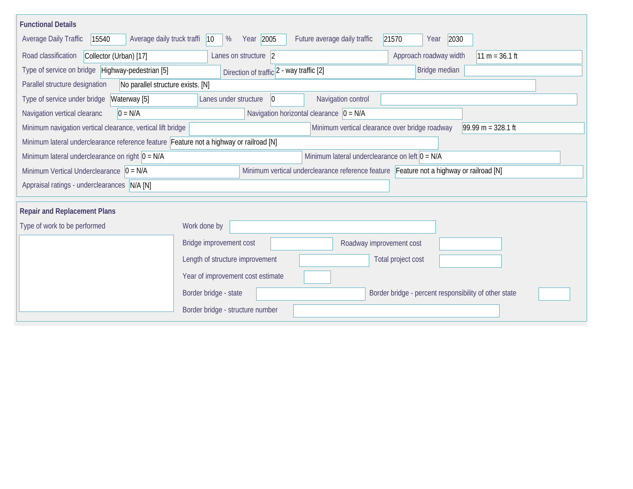| <b>Functional Details</b>                                                              |                                          |                                                  |                                                                                         |  |  |  |  |  |  |  |
|----------------------------------------------------------------------------------------|------------------------------------------|--------------------------------------------------|-----------------------------------------------------------------------------------------|--|--|--|--|--|--|--|
| Average daily truck traffi<br>Average Daily Traffic<br>15540                           | Year 2005<br>$ 10\rangle$<br>%           | Future average daily traffic                     | 21570<br>2030<br>Year                                                                   |  |  |  |  |  |  |  |
| Road classification<br>Collector (Urban) [17]                                          | Lanes on structure 2                     |                                                  | Approach roadway width<br>$11 m = 36.1 ft$                                              |  |  |  |  |  |  |  |
| Type of service on bridge Highway-pedestrian [5]                                       | Direction of traffic 2 - way traffic [2] |                                                  | Bridge median                                                                           |  |  |  |  |  |  |  |
| Parallel structure designation<br>No parallel structure exists. [N]                    |                                          |                                                  |                                                                                         |  |  |  |  |  |  |  |
| Type of service under bridge<br>Waterway [5]                                           | Lanes under structure<br>$\overline{0}$  | Navigation control                               |                                                                                         |  |  |  |  |  |  |  |
| Navigation vertical clearanc<br>$0 = N/A$                                              |                                          | Navigation horizontal clearance $ 0 = N/A$       |                                                                                         |  |  |  |  |  |  |  |
| Minimum navigation vertical clearance, vertical lift bridge                            |                                          |                                                  | Minimum vertical clearance over bridge roadway<br>$99.99 m = 328.1 ft$                  |  |  |  |  |  |  |  |
| Minimum lateral underclearance reference feature Feature not a highway or railroad [N] |                                          |                                                  |                                                                                         |  |  |  |  |  |  |  |
| Minimum lateral underclearance on right $0 = N/A$                                      |                                          | Minimum lateral underclearance on left $0 = N/A$ |                                                                                         |  |  |  |  |  |  |  |
| Minimum Vertical Underclearance $ 0 = N/A $                                            |                                          |                                                  | Minimum vertical underclearance reference feature Feature not a highway or railroad [N] |  |  |  |  |  |  |  |
| Appraisal ratings - underclearances N/A [N]                                            |                                          |                                                  |                                                                                         |  |  |  |  |  |  |  |
|                                                                                        |                                          |                                                  |                                                                                         |  |  |  |  |  |  |  |
| <b>Repair and Replacement Plans</b>                                                    |                                          |                                                  |                                                                                         |  |  |  |  |  |  |  |
| Type of work to be performed                                                           | Work done by                             |                                                  |                                                                                         |  |  |  |  |  |  |  |
|                                                                                        | Bridge improvement cost                  | Roadway improvement cost                         |                                                                                         |  |  |  |  |  |  |  |
|                                                                                        | Length of structure improvement          |                                                  | Total project cost                                                                      |  |  |  |  |  |  |  |
|                                                                                        | Year of improvement cost estimate        |                                                  |                                                                                         |  |  |  |  |  |  |  |
|                                                                                        | Border bridge - state                    |                                                  | Border bridge - percent responsibility of other state                                   |  |  |  |  |  |  |  |
|                                                                                        | Border bridge - structure number         |                                                  |                                                                                         |  |  |  |  |  |  |  |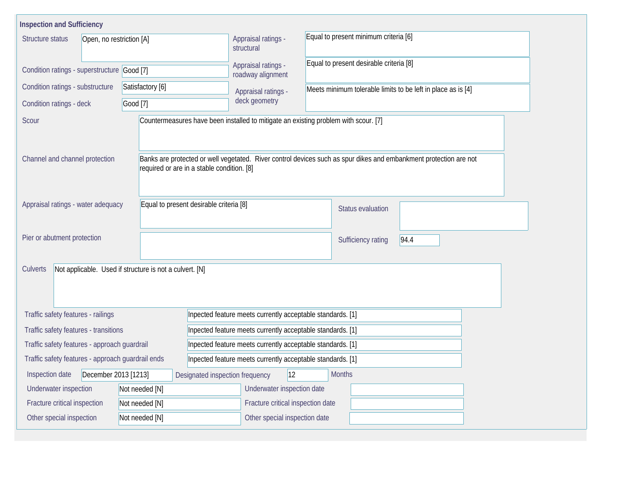| <b>Inspection and Sufficiency</b>                                   |                |                                                                                     |                                                                                                                   |  |  |  |  |  |  |
|---------------------------------------------------------------------|----------------|-------------------------------------------------------------------------------------|-------------------------------------------------------------------------------------------------------------------|--|--|--|--|--|--|
| Structure status<br>Open, no restriction [A]                        |                | Appraisal ratings -<br>structural                                                   | Equal to present minimum criteria [6]                                                                             |  |  |  |  |  |  |
| Condition ratings - superstructure Good [7]                         |                | Appraisal ratings -<br>roadway alignment                                            | Equal to present desirable criteria [8]                                                                           |  |  |  |  |  |  |
| Condition ratings - substructure<br>Satisfactory [6]                |                | Appraisal ratings -                                                                 | Meets minimum tolerable limits to be left in place as is [4]                                                      |  |  |  |  |  |  |
| Condition ratings - deck                                            | Good [7]       |                                                                                     |                                                                                                                   |  |  |  |  |  |  |
| Scour                                                               |                | Countermeasures have been installed to mitigate an existing problem with scour. [7] |                                                                                                                   |  |  |  |  |  |  |
| Channel and channel protection                                      |                | required or are in a stable condition. [8]                                          | Banks are protected or well vegetated. River control devices such as spur dikes and embankment protection are not |  |  |  |  |  |  |
| Appraisal ratings - water adequacy                                  |                | Equal to present desirable criteria [8]                                             | Status evaluation                                                                                                 |  |  |  |  |  |  |
| Pier or abutment protection                                         |                |                                                                                     | Sufficiency rating<br>94.4                                                                                        |  |  |  |  |  |  |
| Not applicable. Used if structure is not a culvert. [N]<br>Culverts |                |                                                                                     |                                                                                                                   |  |  |  |  |  |  |
| Traffic safety features - railings                                  |                | Inpected feature meets currently acceptable standards. [1]                          |                                                                                                                   |  |  |  |  |  |  |
| Traffic safety features - transitions                               |                | Inpected feature meets currently acceptable standards. [1]                          |                                                                                                                   |  |  |  |  |  |  |
| Traffic safety features - approach guardrail                        |                | Inpected feature meets currently acceptable standards. [1]                          |                                                                                                                   |  |  |  |  |  |  |
| Traffic safety features - approach guardrail ends                   |                |                                                                                     | Inpected feature meets currently acceptable standards. [1]                                                        |  |  |  |  |  |  |
| December 2013 [1213]<br>Inspection date                             |                | 12<br>Designated inspection frequency                                               | <b>Months</b>                                                                                                     |  |  |  |  |  |  |
| Underwater inspection                                               | Not needed [N] | Underwater inspection date                                                          |                                                                                                                   |  |  |  |  |  |  |
| Fracture critical inspection                                        | Not needed [N] |                                                                                     | Fracture critical inspection date                                                                                 |  |  |  |  |  |  |
| Other special inspection                                            | Not needed [N] | Other special inspection date                                                       |                                                                                                                   |  |  |  |  |  |  |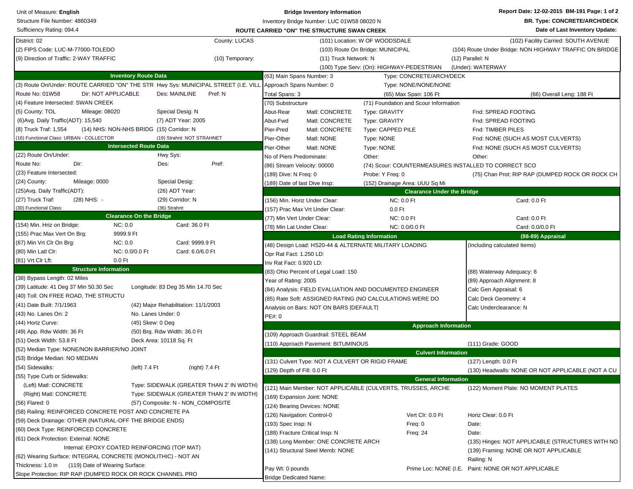| <b>BR. Type: CONCRETE/ARCH/DECK</b><br>Structure File Number: 4860349<br>Inventory Bridge Number: LUC 01W58 08020 N<br>Sufficiency Rating: 094.4<br>Date of Last Inventory Update:<br>ROUTE CARRIED "ON" THE STRUCTURE SWAN CREEK<br>District: 02<br>County: LUCAS<br>(101) Location: W OF WOODSDALE<br>(102) Facility Carried: SOUTH AVENUE<br>(2) FIPS Code: LUC-M-77000-TOLEDO<br>(103) Route On Bridge: MUNICIPAL<br>(104) Route Under Bridge: NON HIGHWAY TRAFFIC ON BRIDGE<br>(11) Truck Network: N<br>(9) Direction of Traffic: 2-WAY TRAFFIC<br>(10) Temporary:<br>(12) Parallel: N<br>(Under): WATERWAY<br>(100) Type Serv: (On): HIGHWAY-PEDESTRIAN<br><b>Inventory Route Data</b><br>(63) Main Spans Number: 3<br>Type: CONCRETE/ARCH/DECK<br>(3) Route On/Under: ROUTE CARRIED "ON" THE STR Hwy Sys: MUNICIPAL STREET (I.E. VILL Approach Spans Number: 0<br>Type: NONE/NONE/NONE<br>Dir: NOT APPLICABLE<br>Route No: 01W58<br>Des: MAINLINE<br>Pref: N<br>Total Spans: 3<br>(65) Max Span: 106 Ft<br>(66) Overall Leng: 188 Ft<br>(4) Feature Intersected: SWAN CREEK<br>(70) Substructure<br>(71) Foundation and Scour Information<br>(5) County: TOL<br>Mileage: 08020<br>Special Desig: N<br>Abut-Rear<br>Matl: CONCRETE<br>Type: GRAVITY<br>Fnd: SPREAD FOOTING<br>(6) Avg. Daily Traffic (ADT): 15,540<br>(7) ADT Year: 2005<br>Abut-Fwd<br>Matl: CONCRETE<br>Fnd: SPREAD FOOTING<br><b>Type: GRAVITY</b><br>(8) Truck Traf: 1,554<br>(14) NHS: NON-NHS BRIDG (15) Corridor: N<br>Pier-Pred<br>Matl: CONCRETE<br>Type: CAPPED PILE<br>Fnd: TIMBER PILES<br>(16) Functional Class: URBAN - COLLECTOR<br>(19) Strahnt: NOT STRAHNET<br>Pier-Other<br>Matl: NONE<br>Type: NONE<br>Fnd: NONE (SUCH AS MOST CULVERTS)<br><b>Intersected Route Data</b><br>Pier-Other<br>Matl: NONE<br>Type: NONE<br>Fnd: NONE (SUCH AS MOST CULVERTS)<br>(22) Route On/Under:<br>Hwy Sys:<br>No of Piers Predominate:<br>Other:<br>Other:<br>Route No:<br>Pref:<br>Dir:<br>Des:<br>(74) Scour: COUNTERMEASURES INSTALLED TO CORRECT SCO<br>(86) Stream Velocity: 00000<br>(23) Feature Intersected:<br>(189) Dive: N Freq: 0<br>Probe: Y Freq: 0<br>(75) Chan Prot: RIP RAP (DUMPED ROCK OR ROCK CH<br>(24) County:<br>Special Desig:<br>Mileage: 0000<br>(189) Date of last Dive Insp:<br>(152) Drainage Area: UUU Sq Mi<br>(25) Avg. Daily Traffic (ADT):<br>(26) ADT Year:<br><b>Clearance Under the Bridge</b><br>(27) Truck Traf:<br>(28) NHS: -<br>(29) Corridor: N<br>(156) Min. Horiz Under Clear:<br>NC: 0.0 Ft<br>Card: 0.0 Ft<br>(36) Strahnt:<br>(30) Functional Class:<br>(157) Prac Max Vrt Under Clear:<br>0.0 <sub>Et</sub><br><b>Clearance On the Bridge</b><br>(77) Min Vert Under Clear:<br>NC: 0.0 Ft<br>Card: 0.0 Ft<br>Card: 36.0 Ft<br>(154) Min. Hriz on Bridge:<br>NC: 0.0<br>Card: 0.0/0.0 Ft<br>(78) Min Lat Under Clear:<br>NC: 0.0/0.0 Ft<br>(155) Prac Max Vert On Brg:<br>9999.9 Ft<br><b>Load Rating Information</b><br>(88-89) Appraisal<br>NC:0.0<br>(67) Min Vrt Clr On Brg:<br>Card: 9999.9 Ft<br>(48) Design Load: HS20-44 & ALTERNATE MILITARY LOADING<br>(Including calculated Items)<br>Card: 6.0/6.0 Ft<br>(80) Min Latl Clr:<br>NC: 0.0/0.0 Ft<br>Opr Rat Fact: 1.250 LD:<br>$0.0$ Ft<br>(81) Vrt Clr Lft:<br>Inv Rat Fact: 0.920 LD:<br><b>Structure Information</b><br>(83) Ohio Percent of Legal Load: 150<br>(88) Waterway Adequacy: 8<br>(38) Bypass Length: 02 Miles<br>Year of Rating: 2005<br>(89) Approach Alignment: 8<br>(39) Latitude: 41 Deg 37 Min 50.30 Sec<br>Longitude: 83 Deg 35 Min 14.70 Sec<br>(84) Analysis: FIELD EVALUATION AND DOCUMENTED ENGINEER<br>Calc Gen Appraisal: 6<br>(40) Toll: ON FREE ROAD, THE STRUCTU<br>(85) Rate Soft: ASSIGNED RATING (NO CALCULATIONS WERE DO<br>Calc Deck Geometry: 4<br>(41) Date Built: 7/1/1963<br>(42) Major Rehabilitation: 11/1/2003<br>Analysis on Bars: NOT ON BARS [DEFAULT]<br>Calc Underclearance: N<br>(43) No. Lanes On: 2<br>No. Lanes Under: 0<br>PE#: 0<br>(44) Horiz Curve:<br>(45) Skew: 0 Deg<br><b>Approach Information</b><br>(49) App. Rdw Width: 36 Ft<br>(50) Brg. Rdw Width: 36.0 Ft<br>(109) Approach Guardrail: STEEL BEAM<br>(51) Deck Width: 53.8 Ft<br>Deck Area: 10118 Sq. Ft<br>(110) Approach Pavement: BITUMINOUS<br>(111) Grade: GOOD<br>(52) Median Type: NONE/NON BARRIER/NO JOINT<br><b>Culvert Information</b><br>(53) Bridge Median: NO MEDIAN<br>(131) Culvert Type: NOT A CULVERT OR RIGID FRAME<br>(127) Length: 0.0 Ft<br>(left) 7.4 Ft<br>(right) 7.4 Ft<br>(54) Sidewalks:<br>(129) Depth of Fill: 0.0 Ft<br>(130) Headwalls: NONE OR NOT APPLICABLE (NOT A CU<br>(55) Type Curb or Sidewalks:<br><b>General Information</b><br>(Left) Matl: CONCRETE<br>Type: SIDEWALK (GREATER THAN 2' IN WIDTH)<br>(121) Main Member: NOT APPLICABLE (CULVERTS, TRUSSES, ARCHE<br>(122) Moment Plate: NO MOMENT PLATES<br>(Right) Matl: CONCRETE<br>Type: SIDEWALK (GREATER THAN 2' IN WIDTH)<br>(169) Expansion Joint: NONE<br>(56) Flared: 0<br>(57) Composite: N - NON COMPOSITE<br>(124) Bearing Devices: NONE<br>(58) Railing: REINFORCED CONCRETE POST AND CONCRETE PA<br>(126) Navigation: Control-0<br>Vert Clr: 0.0 Ft<br>Horiz Clear: 0.0 Ft<br>(59) Deck Drainage: OTHER (NATURAL-OFF THE BRIDGE ENDS)<br>(193) Spec Insp: N<br>Date:<br>Freq: 0<br>(60) Deck Type: REINFORCED CONCRETE<br>(188) Fracture Critical Insp: N<br><b>Freq: 24</b><br>Date:<br>(61) Deck Protection: External: NONE<br>(138) Long Member: ONE CONCRETE ARCH<br>(135) Hinges: NOT APPLICABLE (STRUCTURES WITH NO<br>Internal: EPOXY COATED REINFORCING (TOP MAT)<br>(141) Structural Steel Memb: NONE<br>(139) Framing: NONE OR NOT APPLICABLE<br>(62) Wearing Surface: INTEGRAL CONCRETE (MONOLITHIC) - NOT AN<br>Railing: N<br>Thickness: 1.0 in (119) Date of Wearing Surface:<br>Pay Wt: 0 pounds<br>Prime Loc: NONE (I.E. Paint: NONE OR NOT APPLICABLE<br>Slope Protection: RIP RAP (DUMPED ROCK OR ROCK CHANNEL PRO<br>Bridge Dedicated Name: | Unit of Measure: English | <b>Bridge Inventory Information</b> |  | Report Date: 12-02-2015 BM-191 Page: 1 of 2 |  |  |
|-------------------------------------------------------------------------------------------------------------------------------------------------------------------------------------------------------------------------------------------------------------------------------------------------------------------------------------------------------------------------------------------------------------------------------------------------------------------------------------------------------------------------------------------------------------------------------------------------------------------------------------------------------------------------------------------------------------------------------------------------------------------------------------------------------------------------------------------------------------------------------------------------------------------------------------------------------------------------------------------------------------------------------------------------------------------------------------------------------------------------------------------------------------------------------------------------------------------------------------------------------------------------------------------------------------------------------------------------------------------------------------------------------------------------------------------------------------------------------------------------------------------------------------------------------------------------------------------------------------------------------------------------------------------------------------------------------------------------------------------------------------------------------------------------------------------------------------------------------------------------------------------------------------------------------------------------------------------------------------------------------------------------------------------------------------------------------------------------------------------------------------------------------------------------------------------------------------------------------------------------------------------------------------------------------------------------------------------------------------------------------------------------------------------------------------------------------------------------------------------------------------------------------------------------------------------------------------------------------------------------------------------------------------------------------------------------------------------------------------------------------------------------------------------------------------------------------------------------------------------------------------------------------------------------------------------------------------------------------------------------------------------------------------------------------------------------------------------------------------------------------------------------------------------------------------------------------------------------------------------------------------------------------------------------------------------------------------------------------------------------------------------------------------------------------------------------------------------------------------------------------------------------------------------------------------------------------------------------------------------------------------------------------------------------------------------------------------------------------------------------------------------------------------------------------------------------------------------------------------------------------------------------------------------------------------------------------------------------------------------------------------------------------------------------------------------------------------------------------------------------------------------------------------------------------------------------------------------------------------------------------------------------------------------------------------------------------------------------------------------------------------------------------------------------------------------------------------------------------------------------------------------------------------------------------------------------------------------------------------------------------------------------------------------------------------------------------------------------------------------------------------------------------------------------------------------------------------------------------------------------------------------------------------------------------------------------------------------------------------------------------------------------------------------------------------------------------------------------------------------------------------------------------------------------------------------------------------------------------------------------------------------------------------------------------------------------------------------------------------------------------------------------------------------------------------------------------------------------------------------------------------------------------------------------------------------------------------------------------------------------------------------------------------------------------------------------------------------------------------------------------------------------------------------------------------------------------------------------------------------------------------------------------------------------------------------------------------------------------|--------------------------|-------------------------------------|--|---------------------------------------------|--|--|
|                                                                                                                                                                                                                                                                                                                                                                                                                                                                                                                                                                                                                                                                                                                                                                                                                                                                                                                                                                                                                                                                                                                                                                                                                                                                                                                                                                                                                                                                                                                                                                                                                                                                                                                                                                                                                                                                                                                                                                                                                                                                                                                                                                                                                                                                                                                                                                                                                                                                                                                                                                                                                                                                                                                                                                                                                                                                                                                                                                                                                                                                                                                                                                                                                                                                                                                                                                                                                                                                                                                                                                                                                                                                                                                                                                                                                                                                                                                                                                                                                                                                                                                                                                                                                                                                                                                                                                                                                                                                                                                                                                                                                                                                                                                                                                                                                                                                                                                                                                                                                                                                                                                                                                                                                                                                                                                                                                                                                                                                                                                                                                                                                                                                                                                                                                                                                                                                                                                                                                               |                          |                                     |  |                                             |  |  |
|                                                                                                                                                                                                                                                                                                                                                                                                                                                                                                                                                                                                                                                                                                                                                                                                                                                                                                                                                                                                                                                                                                                                                                                                                                                                                                                                                                                                                                                                                                                                                                                                                                                                                                                                                                                                                                                                                                                                                                                                                                                                                                                                                                                                                                                                                                                                                                                                                                                                                                                                                                                                                                                                                                                                                                                                                                                                                                                                                                                                                                                                                                                                                                                                                                                                                                                                                                                                                                                                                                                                                                                                                                                                                                                                                                                                                                                                                                                                                                                                                                                                                                                                                                                                                                                                                                                                                                                                                                                                                                                                                                                                                                                                                                                                                                                                                                                                                                                                                                                                                                                                                                                                                                                                                                                                                                                                                                                                                                                                                                                                                                                                                                                                                                                                                                                                                                                                                                                                                                               |                          |                                     |  |                                             |  |  |
|                                                                                                                                                                                                                                                                                                                                                                                                                                                                                                                                                                                                                                                                                                                                                                                                                                                                                                                                                                                                                                                                                                                                                                                                                                                                                                                                                                                                                                                                                                                                                                                                                                                                                                                                                                                                                                                                                                                                                                                                                                                                                                                                                                                                                                                                                                                                                                                                                                                                                                                                                                                                                                                                                                                                                                                                                                                                                                                                                                                                                                                                                                                                                                                                                                                                                                                                                                                                                                                                                                                                                                                                                                                                                                                                                                                                                                                                                                                                                                                                                                                                                                                                                                                                                                                                                                                                                                                                                                                                                                                                                                                                                                                                                                                                                                                                                                                                                                                                                                                                                                                                                                                                                                                                                                                                                                                                                                                                                                                                                                                                                                                                                                                                                                                                                                                                                                                                                                                                                                               |                          |                                     |  |                                             |  |  |
|                                                                                                                                                                                                                                                                                                                                                                                                                                                                                                                                                                                                                                                                                                                                                                                                                                                                                                                                                                                                                                                                                                                                                                                                                                                                                                                                                                                                                                                                                                                                                                                                                                                                                                                                                                                                                                                                                                                                                                                                                                                                                                                                                                                                                                                                                                                                                                                                                                                                                                                                                                                                                                                                                                                                                                                                                                                                                                                                                                                                                                                                                                                                                                                                                                                                                                                                                                                                                                                                                                                                                                                                                                                                                                                                                                                                                                                                                                                                                                                                                                                                                                                                                                                                                                                                                                                                                                                                                                                                                                                                                                                                                                                                                                                                                                                                                                                                                                                                                                                                                                                                                                                                                                                                                                                                                                                                                                                                                                                                                                                                                                                                                                                                                                                                                                                                                                                                                                                                                                               |                          |                                     |  |                                             |  |  |
|                                                                                                                                                                                                                                                                                                                                                                                                                                                                                                                                                                                                                                                                                                                                                                                                                                                                                                                                                                                                                                                                                                                                                                                                                                                                                                                                                                                                                                                                                                                                                                                                                                                                                                                                                                                                                                                                                                                                                                                                                                                                                                                                                                                                                                                                                                                                                                                                                                                                                                                                                                                                                                                                                                                                                                                                                                                                                                                                                                                                                                                                                                                                                                                                                                                                                                                                                                                                                                                                                                                                                                                                                                                                                                                                                                                                                                                                                                                                                                                                                                                                                                                                                                                                                                                                                                                                                                                                                                                                                                                                                                                                                                                                                                                                                                                                                                                                                                                                                                                                                                                                                                                                                                                                                                                                                                                                                                                                                                                                                                                                                                                                                                                                                                                                                                                                                                                                                                                                                                               |                          |                                     |  |                                             |  |  |
|                                                                                                                                                                                                                                                                                                                                                                                                                                                                                                                                                                                                                                                                                                                                                                                                                                                                                                                                                                                                                                                                                                                                                                                                                                                                                                                                                                                                                                                                                                                                                                                                                                                                                                                                                                                                                                                                                                                                                                                                                                                                                                                                                                                                                                                                                                                                                                                                                                                                                                                                                                                                                                                                                                                                                                                                                                                                                                                                                                                                                                                                                                                                                                                                                                                                                                                                                                                                                                                                                                                                                                                                                                                                                                                                                                                                                                                                                                                                                                                                                                                                                                                                                                                                                                                                                                                                                                                                                                                                                                                                                                                                                                                                                                                                                                                                                                                                                                                                                                                                                                                                                                                                                                                                                                                                                                                                                                                                                                                                                                                                                                                                                                                                                                                                                                                                                                                                                                                                                                               |                          |                                     |  |                                             |  |  |
|                                                                                                                                                                                                                                                                                                                                                                                                                                                                                                                                                                                                                                                                                                                                                                                                                                                                                                                                                                                                                                                                                                                                                                                                                                                                                                                                                                                                                                                                                                                                                                                                                                                                                                                                                                                                                                                                                                                                                                                                                                                                                                                                                                                                                                                                                                                                                                                                                                                                                                                                                                                                                                                                                                                                                                                                                                                                                                                                                                                                                                                                                                                                                                                                                                                                                                                                                                                                                                                                                                                                                                                                                                                                                                                                                                                                                                                                                                                                                                                                                                                                                                                                                                                                                                                                                                                                                                                                                                                                                                                                                                                                                                                                                                                                                                                                                                                                                                                                                                                                                                                                                                                                                                                                                                                                                                                                                                                                                                                                                                                                                                                                                                                                                                                                                                                                                                                                                                                                                                               |                          |                                     |  |                                             |  |  |
|                                                                                                                                                                                                                                                                                                                                                                                                                                                                                                                                                                                                                                                                                                                                                                                                                                                                                                                                                                                                                                                                                                                                                                                                                                                                                                                                                                                                                                                                                                                                                                                                                                                                                                                                                                                                                                                                                                                                                                                                                                                                                                                                                                                                                                                                                                                                                                                                                                                                                                                                                                                                                                                                                                                                                                                                                                                                                                                                                                                                                                                                                                                                                                                                                                                                                                                                                                                                                                                                                                                                                                                                                                                                                                                                                                                                                                                                                                                                                                                                                                                                                                                                                                                                                                                                                                                                                                                                                                                                                                                                                                                                                                                                                                                                                                                                                                                                                                                                                                                                                                                                                                                                                                                                                                                                                                                                                                                                                                                                                                                                                                                                                                                                                                                                                                                                                                                                                                                                                                               |                          |                                     |  |                                             |  |  |
|                                                                                                                                                                                                                                                                                                                                                                                                                                                                                                                                                                                                                                                                                                                                                                                                                                                                                                                                                                                                                                                                                                                                                                                                                                                                                                                                                                                                                                                                                                                                                                                                                                                                                                                                                                                                                                                                                                                                                                                                                                                                                                                                                                                                                                                                                                                                                                                                                                                                                                                                                                                                                                                                                                                                                                                                                                                                                                                                                                                                                                                                                                                                                                                                                                                                                                                                                                                                                                                                                                                                                                                                                                                                                                                                                                                                                                                                                                                                                                                                                                                                                                                                                                                                                                                                                                                                                                                                                                                                                                                                                                                                                                                                                                                                                                                                                                                                                                                                                                                                                                                                                                                                                                                                                                                                                                                                                                                                                                                                                                                                                                                                                                                                                                                                                                                                                                                                                                                                                                               |                          |                                     |  |                                             |  |  |
|                                                                                                                                                                                                                                                                                                                                                                                                                                                                                                                                                                                                                                                                                                                                                                                                                                                                                                                                                                                                                                                                                                                                                                                                                                                                                                                                                                                                                                                                                                                                                                                                                                                                                                                                                                                                                                                                                                                                                                                                                                                                                                                                                                                                                                                                                                                                                                                                                                                                                                                                                                                                                                                                                                                                                                                                                                                                                                                                                                                                                                                                                                                                                                                                                                                                                                                                                                                                                                                                                                                                                                                                                                                                                                                                                                                                                                                                                                                                                                                                                                                                                                                                                                                                                                                                                                                                                                                                                                                                                                                                                                                                                                                                                                                                                                                                                                                                                                                                                                                                                                                                                                                                                                                                                                                                                                                                                                                                                                                                                                                                                                                                                                                                                                                                                                                                                                                                                                                                                                               |                          |                                     |  |                                             |  |  |
|                                                                                                                                                                                                                                                                                                                                                                                                                                                                                                                                                                                                                                                                                                                                                                                                                                                                                                                                                                                                                                                                                                                                                                                                                                                                                                                                                                                                                                                                                                                                                                                                                                                                                                                                                                                                                                                                                                                                                                                                                                                                                                                                                                                                                                                                                                                                                                                                                                                                                                                                                                                                                                                                                                                                                                                                                                                                                                                                                                                                                                                                                                                                                                                                                                                                                                                                                                                                                                                                                                                                                                                                                                                                                                                                                                                                                                                                                                                                                                                                                                                                                                                                                                                                                                                                                                                                                                                                                                                                                                                                                                                                                                                                                                                                                                                                                                                                                                                                                                                                                                                                                                                                                                                                                                                                                                                                                                                                                                                                                                                                                                                                                                                                                                                                                                                                                                                                                                                                                                               |                          |                                     |  |                                             |  |  |
|                                                                                                                                                                                                                                                                                                                                                                                                                                                                                                                                                                                                                                                                                                                                                                                                                                                                                                                                                                                                                                                                                                                                                                                                                                                                                                                                                                                                                                                                                                                                                                                                                                                                                                                                                                                                                                                                                                                                                                                                                                                                                                                                                                                                                                                                                                                                                                                                                                                                                                                                                                                                                                                                                                                                                                                                                                                                                                                                                                                                                                                                                                                                                                                                                                                                                                                                                                                                                                                                                                                                                                                                                                                                                                                                                                                                                                                                                                                                                                                                                                                                                                                                                                                                                                                                                                                                                                                                                                                                                                                                                                                                                                                                                                                                                                                                                                                                                                                                                                                                                                                                                                                                                                                                                                                                                                                                                                                                                                                                                                                                                                                                                                                                                                                                                                                                                                                                                                                                                                               |                          |                                     |  |                                             |  |  |
|                                                                                                                                                                                                                                                                                                                                                                                                                                                                                                                                                                                                                                                                                                                                                                                                                                                                                                                                                                                                                                                                                                                                                                                                                                                                                                                                                                                                                                                                                                                                                                                                                                                                                                                                                                                                                                                                                                                                                                                                                                                                                                                                                                                                                                                                                                                                                                                                                                                                                                                                                                                                                                                                                                                                                                                                                                                                                                                                                                                                                                                                                                                                                                                                                                                                                                                                                                                                                                                                                                                                                                                                                                                                                                                                                                                                                                                                                                                                                                                                                                                                                                                                                                                                                                                                                                                                                                                                                                                                                                                                                                                                                                                                                                                                                                                                                                                                                                                                                                                                                                                                                                                                                                                                                                                                                                                                                                                                                                                                                                                                                                                                                                                                                                                                                                                                                                                                                                                                                                               |                          |                                     |  |                                             |  |  |
|                                                                                                                                                                                                                                                                                                                                                                                                                                                                                                                                                                                                                                                                                                                                                                                                                                                                                                                                                                                                                                                                                                                                                                                                                                                                                                                                                                                                                                                                                                                                                                                                                                                                                                                                                                                                                                                                                                                                                                                                                                                                                                                                                                                                                                                                                                                                                                                                                                                                                                                                                                                                                                                                                                                                                                                                                                                                                                                                                                                                                                                                                                                                                                                                                                                                                                                                                                                                                                                                                                                                                                                                                                                                                                                                                                                                                                                                                                                                                                                                                                                                                                                                                                                                                                                                                                                                                                                                                                                                                                                                                                                                                                                                                                                                                                                                                                                                                                                                                                                                                                                                                                                                                                                                                                                                                                                                                                                                                                                                                                                                                                                                                                                                                                                                                                                                                                                                                                                                                                               |                          |                                     |  |                                             |  |  |
|                                                                                                                                                                                                                                                                                                                                                                                                                                                                                                                                                                                                                                                                                                                                                                                                                                                                                                                                                                                                                                                                                                                                                                                                                                                                                                                                                                                                                                                                                                                                                                                                                                                                                                                                                                                                                                                                                                                                                                                                                                                                                                                                                                                                                                                                                                                                                                                                                                                                                                                                                                                                                                                                                                                                                                                                                                                                                                                                                                                                                                                                                                                                                                                                                                                                                                                                                                                                                                                                                                                                                                                                                                                                                                                                                                                                                                                                                                                                                                                                                                                                                                                                                                                                                                                                                                                                                                                                                                                                                                                                                                                                                                                                                                                                                                                                                                                                                                                                                                                                                                                                                                                                                                                                                                                                                                                                                                                                                                                                                                                                                                                                                                                                                                                                                                                                                                                                                                                                                                               |                          |                                     |  |                                             |  |  |
|                                                                                                                                                                                                                                                                                                                                                                                                                                                                                                                                                                                                                                                                                                                                                                                                                                                                                                                                                                                                                                                                                                                                                                                                                                                                                                                                                                                                                                                                                                                                                                                                                                                                                                                                                                                                                                                                                                                                                                                                                                                                                                                                                                                                                                                                                                                                                                                                                                                                                                                                                                                                                                                                                                                                                                                                                                                                                                                                                                                                                                                                                                                                                                                                                                                                                                                                                                                                                                                                                                                                                                                                                                                                                                                                                                                                                                                                                                                                                                                                                                                                                                                                                                                                                                                                                                                                                                                                                                                                                                                                                                                                                                                                                                                                                                                                                                                                                                                                                                                                                                                                                                                                                                                                                                                                                                                                                                                                                                                                                                                                                                                                                                                                                                                                                                                                                                                                                                                                                                               |                          |                                     |  |                                             |  |  |
|                                                                                                                                                                                                                                                                                                                                                                                                                                                                                                                                                                                                                                                                                                                                                                                                                                                                                                                                                                                                                                                                                                                                                                                                                                                                                                                                                                                                                                                                                                                                                                                                                                                                                                                                                                                                                                                                                                                                                                                                                                                                                                                                                                                                                                                                                                                                                                                                                                                                                                                                                                                                                                                                                                                                                                                                                                                                                                                                                                                                                                                                                                                                                                                                                                                                                                                                                                                                                                                                                                                                                                                                                                                                                                                                                                                                                                                                                                                                                                                                                                                                                                                                                                                                                                                                                                                                                                                                                                                                                                                                                                                                                                                                                                                                                                                                                                                                                                                                                                                                                                                                                                                                                                                                                                                                                                                                                                                                                                                                                                                                                                                                                                                                                                                                                                                                                                                                                                                                                                               |                          |                                     |  |                                             |  |  |
|                                                                                                                                                                                                                                                                                                                                                                                                                                                                                                                                                                                                                                                                                                                                                                                                                                                                                                                                                                                                                                                                                                                                                                                                                                                                                                                                                                                                                                                                                                                                                                                                                                                                                                                                                                                                                                                                                                                                                                                                                                                                                                                                                                                                                                                                                                                                                                                                                                                                                                                                                                                                                                                                                                                                                                                                                                                                                                                                                                                                                                                                                                                                                                                                                                                                                                                                                                                                                                                                                                                                                                                                                                                                                                                                                                                                                                                                                                                                                                                                                                                                                                                                                                                                                                                                                                                                                                                                                                                                                                                                                                                                                                                                                                                                                                                                                                                                                                                                                                                                                                                                                                                                                                                                                                                                                                                                                                                                                                                                                                                                                                                                                                                                                                                                                                                                                                                                                                                                                                               |                          |                                     |  |                                             |  |  |
|                                                                                                                                                                                                                                                                                                                                                                                                                                                                                                                                                                                                                                                                                                                                                                                                                                                                                                                                                                                                                                                                                                                                                                                                                                                                                                                                                                                                                                                                                                                                                                                                                                                                                                                                                                                                                                                                                                                                                                                                                                                                                                                                                                                                                                                                                                                                                                                                                                                                                                                                                                                                                                                                                                                                                                                                                                                                                                                                                                                                                                                                                                                                                                                                                                                                                                                                                                                                                                                                                                                                                                                                                                                                                                                                                                                                                                                                                                                                                                                                                                                                                                                                                                                                                                                                                                                                                                                                                                                                                                                                                                                                                                                                                                                                                                                                                                                                                                                                                                                                                                                                                                                                                                                                                                                                                                                                                                                                                                                                                                                                                                                                                                                                                                                                                                                                                                                                                                                                                                               |                          |                                     |  |                                             |  |  |
|                                                                                                                                                                                                                                                                                                                                                                                                                                                                                                                                                                                                                                                                                                                                                                                                                                                                                                                                                                                                                                                                                                                                                                                                                                                                                                                                                                                                                                                                                                                                                                                                                                                                                                                                                                                                                                                                                                                                                                                                                                                                                                                                                                                                                                                                                                                                                                                                                                                                                                                                                                                                                                                                                                                                                                                                                                                                                                                                                                                                                                                                                                                                                                                                                                                                                                                                                                                                                                                                                                                                                                                                                                                                                                                                                                                                                                                                                                                                                                                                                                                                                                                                                                                                                                                                                                                                                                                                                                                                                                                                                                                                                                                                                                                                                                                                                                                                                                                                                                                                                                                                                                                                                                                                                                                                                                                                                                                                                                                                                                                                                                                                                                                                                                                                                                                                                                                                                                                                                                               |                          |                                     |  |                                             |  |  |
|                                                                                                                                                                                                                                                                                                                                                                                                                                                                                                                                                                                                                                                                                                                                                                                                                                                                                                                                                                                                                                                                                                                                                                                                                                                                                                                                                                                                                                                                                                                                                                                                                                                                                                                                                                                                                                                                                                                                                                                                                                                                                                                                                                                                                                                                                                                                                                                                                                                                                                                                                                                                                                                                                                                                                                                                                                                                                                                                                                                                                                                                                                                                                                                                                                                                                                                                                                                                                                                                                                                                                                                                                                                                                                                                                                                                                                                                                                                                                                                                                                                                                                                                                                                                                                                                                                                                                                                                                                                                                                                                                                                                                                                                                                                                                                                                                                                                                                                                                                                                                                                                                                                                                                                                                                                                                                                                                                                                                                                                                                                                                                                                                                                                                                                                                                                                                                                                                                                                                                               |                          |                                     |  |                                             |  |  |
|                                                                                                                                                                                                                                                                                                                                                                                                                                                                                                                                                                                                                                                                                                                                                                                                                                                                                                                                                                                                                                                                                                                                                                                                                                                                                                                                                                                                                                                                                                                                                                                                                                                                                                                                                                                                                                                                                                                                                                                                                                                                                                                                                                                                                                                                                                                                                                                                                                                                                                                                                                                                                                                                                                                                                                                                                                                                                                                                                                                                                                                                                                                                                                                                                                                                                                                                                                                                                                                                                                                                                                                                                                                                                                                                                                                                                                                                                                                                                                                                                                                                                                                                                                                                                                                                                                                                                                                                                                                                                                                                                                                                                                                                                                                                                                                                                                                                                                                                                                                                                                                                                                                                                                                                                                                                                                                                                                                                                                                                                                                                                                                                                                                                                                                                                                                                                                                                                                                                                                               |                          |                                     |  |                                             |  |  |
|                                                                                                                                                                                                                                                                                                                                                                                                                                                                                                                                                                                                                                                                                                                                                                                                                                                                                                                                                                                                                                                                                                                                                                                                                                                                                                                                                                                                                                                                                                                                                                                                                                                                                                                                                                                                                                                                                                                                                                                                                                                                                                                                                                                                                                                                                                                                                                                                                                                                                                                                                                                                                                                                                                                                                                                                                                                                                                                                                                                                                                                                                                                                                                                                                                                                                                                                                                                                                                                                                                                                                                                                                                                                                                                                                                                                                                                                                                                                                                                                                                                                                                                                                                                                                                                                                                                                                                                                                                                                                                                                                                                                                                                                                                                                                                                                                                                                                                                                                                                                                                                                                                                                                                                                                                                                                                                                                                                                                                                                                                                                                                                                                                                                                                                                                                                                                                                                                                                                                                               |                          |                                     |  |                                             |  |  |
|                                                                                                                                                                                                                                                                                                                                                                                                                                                                                                                                                                                                                                                                                                                                                                                                                                                                                                                                                                                                                                                                                                                                                                                                                                                                                                                                                                                                                                                                                                                                                                                                                                                                                                                                                                                                                                                                                                                                                                                                                                                                                                                                                                                                                                                                                                                                                                                                                                                                                                                                                                                                                                                                                                                                                                                                                                                                                                                                                                                                                                                                                                                                                                                                                                                                                                                                                                                                                                                                                                                                                                                                                                                                                                                                                                                                                                                                                                                                                                                                                                                                                                                                                                                                                                                                                                                                                                                                                                                                                                                                                                                                                                                                                                                                                                                                                                                                                                                                                                                                                                                                                                                                                                                                                                                                                                                                                                                                                                                                                                                                                                                                                                                                                                                                                                                                                                                                                                                                                                               |                          |                                     |  |                                             |  |  |
|                                                                                                                                                                                                                                                                                                                                                                                                                                                                                                                                                                                                                                                                                                                                                                                                                                                                                                                                                                                                                                                                                                                                                                                                                                                                                                                                                                                                                                                                                                                                                                                                                                                                                                                                                                                                                                                                                                                                                                                                                                                                                                                                                                                                                                                                                                                                                                                                                                                                                                                                                                                                                                                                                                                                                                                                                                                                                                                                                                                                                                                                                                                                                                                                                                                                                                                                                                                                                                                                                                                                                                                                                                                                                                                                                                                                                                                                                                                                                                                                                                                                                                                                                                                                                                                                                                                                                                                                                                                                                                                                                                                                                                                                                                                                                                                                                                                                                                                                                                                                                                                                                                                                                                                                                                                                                                                                                                                                                                                                                                                                                                                                                                                                                                                                                                                                                                                                                                                                                                               |                          |                                     |  |                                             |  |  |
|                                                                                                                                                                                                                                                                                                                                                                                                                                                                                                                                                                                                                                                                                                                                                                                                                                                                                                                                                                                                                                                                                                                                                                                                                                                                                                                                                                                                                                                                                                                                                                                                                                                                                                                                                                                                                                                                                                                                                                                                                                                                                                                                                                                                                                                                                                                                                                                                                                                                                                                                                                                                                                                                                                                                                                                                                                                                                                                                                                                                                                                                                                                                                                                                                                                                                                                                                                                                                                                                                                                                                                                                                                                                                                                                                                                                                                                                                                                                                                                                                                                                                                                                                                                                                                                                                                                                                                                                                                                                                                                                                                                                                                                                                                                                                                                                                                                                                                                                                                                                                                                                                                                                                                                                                                                                                                                                                                                                                                                                                                                                                                                                                                                                                                                                                                                                                                                                                                                                                                               |                          |                                     |  |                                             |  |  |
|                                                                                                                                                                                                                                                                                                                                                                                                                                                                                                                                                                                                                                                                                                                                                                                                                                                                                                                                                                                                                                                                                                                                                                                                                                                                                                                                                                                                                                                                                                                                                                                                                                                                                                                                                                                                                                                                                                                                                                                                                                                                                                                                                                                                                                                                                                                                                                                                                                                                                                                                                                                                                                                                                                                                                                                                                                                                                                                                                                                                                                                                                                                                                                                                                                                                                                                                                                                                                                                                                                                                                                                                                                                                                                                                                                                                                                                                                                                                                                                                                                                                                                                                                                                                                                                                                                                                                                                                                                                                                                                                                                                                                                                                                                                                                                                                                                                                                                                                                                                                                                                                                                                                                                                                                                                                                                                                                                                                                                                                                                                                                                                                                                                                                                                                                                                                                                                                                                                                                                               |                          |                                     |  |                                             |  |  |
|                                                                                                                                                                                                                                                                                                                                                                                                                                                                                                                                                                                                                                                                                                                                                                                                                                                                                                                                                                                                                                                                                                                                                                                                                                                                                                                                                                                                                                                                                                                                                                                                                                                                                                                                                                                                                                                                                                                                                                                                                                                                                                                                                                                                                                                                                                                                                                                                                                                                                                                                                                                                                                                                                                                                                                                                                                                                                                                                                                                                                                                                                                                                                                                                                                                                                                                                                                                                                                                                                                                                                                                                                                                                                                                                                                                                                                                                                                                                                                                                                                                                                                                                                                                                                                                                                                                                                                                                                                                                                                                                                                                                                                                                                                                                                                                                                                                                                                                                                                                                                                                                                                                                                                                                                                                                                                                                                                                                                                                                                                                                                                                                                                                                                                                                                                                                                                                                                                                                                                               |                          |                                     |  |                                             |  |  |
|                                                                                                                                                                                                                                                                                                                                                                                                                                                                                                                                                                                                                                                                                                                                                                                                                                                                                                                                                                                                                                                                                                                                                                                                                                                                                                                                                                                                                                                                                                                                                                                                                                                                                                                                                                                                                                                                                                                                                                                                                                                                                                                                                                                                                                                                                                                                                                                                                                                                                                                                                                                                                                                                                                                                                                                                                                                                                                                                                                                                                                                                                                                                                                                                                                                                                                                                                                                                                                                                                                                                                                                                                                                                                                                                                                                                                                                                                                                                                                                                                                                                                                                                                                                                                                                                                                                                                                                                                                                                                                                                                                                                                                                                                                                                                                                                                                                                                                                                                                                                                                                                                                                                                                                                                                                                                                                                                                                                                                                                                                                                                                                                                                                                                                                                                                                                                                                                                                                                                                               |                          |                                     |  |                                             |  |  |
|                                                                                                                                                                                                                                                                                                                                                                                                                                                                                                                                                                                                                                                                                                                                                                                                                                                                                                                                                                                                                                                                                                                                                                                                                                                                                                                                                                                                                                                                                                                                                                                                                                                                                                                                                                                                                                                                                                                                                                                                                                                                                                                                                                                                                                                                                                                                                                                                                                                                                                                                                                                                                                                                                                                                                                                                                                                                                                                                                                                                                                                                                                                                                                                                                                                                                                                                                                                                                                                                                                                                                                                                                                                                                                                                                                                                                                                                                                                                                                                                                                                                                                                                                                                                                                                                                                                                                                                                                                                                                                                                                                                                                                                                                                                                                                                                                                                                                                                                                                                                                                                                                                                                                                                                                                                                                                                                                                                                                                                                                                                                                                                                                                                                                                                                                                                                                                                                                                                                                                               |                          |                                     |  |                                             |  |  |
|                                                                                                                                                                                                                                                                                                                                                                                                                                                                                                                                                                                                                                                                                                                                                                                                                                                                                                                                                                                                                                                                                                                                                                                                                                                                                                                                                                                                                                                                                                                                                                                                                                                                                                                                                                                                                                                                                                                                                                                                                                                                                                                                                                                                                                                                                                                                                                                                                                                                                                                                                                                                                                                                                                                                                                                                                                                                                                                                                                                                                                                                                                                                                                                                                                                                                                                                                                                                                                                                                                                                                                                                                                                                                                                                                                                                                                                                                                                                                                                                                                                                                                                                                                                                                                                                                                                                                                                                                                                                                                                                                                                                                                                                                                                                                                                                                                                                                                                                                                                                                                                                                                                                                                                                                                                                                                                                                                                                                                                                                                                                                                                                                                                                                                                                                                                                                                                                                                                                                                               |                          |                                     |  |                                             |  |  |
|                                                                                                                                                                                                                                                                                                                                                                                                                                                                                                                                                                                                                                                                                                                                                                                                                                                                                                                                                                                                                                                                                                                                                                                                                                                                                                                                                                                                                                                                                                                                                                                                                                                                                                                                                                                                                                                                                                                                                                                                                                                                                                                                                                                                                                                                                                                                                                                                                                                                                                                                                                                                                                                                                                                                                                                                                                                                                                                                                                                                                                                                                                                                                                                                                                                                                                                                                                                                                                                                                                                                                                                                                                                                                                                                                                                                                                                                                                                                                                                                                                                                                                                                                                                                                                                                                                                                                                                                                                                                                                                                                                                                                                                                                                                                                                                                                                                                                                                                                                                                                                                                                                                                                                                                                                                                                                                                                                                                                                                                                                                                                                                                                                                                                                                                                                                                                                                                                                                                                                               |                          |                                     |  |                                             |  |  |
|                                                                                                                                                                                                                                                                                                                                                                                                                                                                                                                                                                                                                                                                                                                                                                                                                                                                                                                                                                                                                                                                                                                                                                                                                                                                                                                                                                                                                                                                                                                                                                                                                                                                                                                                                                                                                                                                                                                                                                                                                                                                                                                                                                                                                                                                                                                                                                                                                                                                                                                                                                                                                                                                                                                                                                                                                                                                                                                                                                                                                                                                                                                                                                                                                                                                                                                                                                                                                                                                                                                                                                                                                                                                                                                                                                                                                                                                                                                                                                                                                                                                                                                                                                                                                                                                                                                                                                                                                                                                                                                                                                                                                                                                                                                                                                                                                                                                                                                                                                                                                                                                                                                                                                                                                                                                                                                                                                                                                                                                                                                                                                                                                                                                                                                                                                                                                                                                                                                                                                               |                          |                                     |  |                                             |  |  |
|                                                                                                                                                                                                                                                                                                                                                                                                                                                                                                                                                                                                                                                                                                                                                                                                                                                                                                                                                                                                                                                                                                                                                                                                                                                                                                                                                                                                                                                                                                                                                                                                                                                                                                                                                                                                                                                                                                                                                                                                                                                                                                                                                                                                                                                                                                                                                                                                                                                                                                                                                                                                                                                                                                                                                                                                                                                                                                                                                                                                                                                                                                                                                                                                                                                                                                                                                                                                                                                                                                                                                                                                                                                                                                                                                                                                                                                                                                                                                                                                                                                                                                                                                                                                                                                                                                                                                                                                                                                                                                                                                                                                                                                                                                                                                                                                                                                                                                                                                                                                                                                                                                                                                                                                                                                                                                                                                                                                                                                                                                                                                                                                                                                                                                                                                                                                                                                                                                                                                                               |                          |                                     |  |                                             |  |  |
|                                                                                                                                                                                                                                                                                                                                                                                                                                                                                                                                                                                                                                                                                                                                                                                                                                                                                                                                                                                                                                                                                                                                                                                                                                                                                                                                                                                                                                                                                                                                                                                                                                                                                                                                                                                                                                                                                                                                                                                                                                                                                                                                                                                                                                                                                                                                                                                                                                                                                                                                                                                                                                                                                                                                                                                                                                                                                                                                                                                                                                                                                                                                                                                                                                                                                                                                                                                                                                                                                                                                                                                                                                                                                                                                                                                                                                                                                                                                                                                                                                                                                                                                                                                                                                                                                                                                                                                                                                                                                                                                                                                                                                                                                                                                                                                                                                                                                                                                                                                                                                                                                                                                                                                                                                                                                                                                                                                                                                                                                                                                                                                                                                                                                                                                                                                                                                                                                                                                                                               |                          |                                     |  |                                             |  |  |
|                                                                                                                                                                                                                                                                                                                                                                                                                                                                                                                                                                                                                                                                                                                                                                                                                                                                                                                                                                                                                                                                                                                                                                                                                                                                                                                                                                                                                                                                                                                                                                                                                                                                                                                                                                                                                                                                                                                                                                                                                                                                                                                                                                                                                                                                                                                                                                                                                                                                                                                                                                                                                                                                                                                                                                                                                                                                                                                                                                                                                                                                                                                                                                                                                                                                                                                                                                                                                                                                                                                                                                                                                                                                                                                                                                                                                                                                                                                                                                                                                                                                                                                                                                                                                                                                                                                                                                                                                                                                                                                                                                                                                                                                                                                                                                                                                                                                                                                                                                                                                                                                                                                                                                                                                                                                                                                                                                                                                                                                                                                                                                                                                                                                                                                                                                                                                                                                                                                                                                               |                          |                                     |  |                                             |  |  |
|                                                                                                                                                                                                                                                                                                                                                                                                                                                                                                                                                                                                                                                                                                                                                                                                                                                                                                                                                                                                                                                                                                                                                                                                                                                                                                                                                                                                                                                                                                                                                                                                                                                                                                                                                                                                                                                                                                                                                                                                                                                                                                                                                                                                                                                                                                                                                                                                                                                                                                                                                                                                                                                                                                                                                                                                                                                                                                                                                                                                                                                                                                                                                                                                                                                                                                                                                                                                                                                                                                                                                                                                                                                                                                                                                                                                                                                                                                                                                                                                                                                                                                                                                                                                                                                                                                                                                                                                                                                                                                                                                                                                                                                                                                                                                                                                                                                                                                                                                                                                                                                                                                                                                                                                                                                                                                                                                                                                                                                                                                                                                                                                                                                                                                                                                                                                                                                                                                                                                                               |                          |                                     |  |                                             |  |  |
|                                                                                                                                                                                                                                                                                                                                                                                                                                                                                                                                                                                                                                                                                                                                                                                                                                                                                                                                                                                                                                                                                                                                                                                                                                                                                                                                                                                                                                                                                                                                                                                                                                                                                                                                                                                                                                                                                                                                                                                                                                                                                                                                                                                                                                                                                                                                                                                                                                                                                                                                                                                                                                                                                                                                                                                                                                                                                                                                                                                                                                                                                                                                                                                                                                                                                                                                                                                                                                                                                                                                                                                                                                                                                                                                                                                                                                                                                                                                                                                                                                                                                                                                                                                                                                                                                                                                                                                                                                                                                                                                                                                                                                                                                                                                                                                                                                                                                                                                                                                                                                                                                                                                                                                                                                                                                                                                                                                                                                                                                                                                                                                                                                                                                                                                                                                                                                                                                                                                                                               |                          |                                     |  |                                             |  |  |
|                                                                                                                                                                                                                                                                                                                                                                                                                                                                                                                                                                                                                                                                                                                                                                                                                                                                                                                                                                                                                                                                                                                                                                                                                                                                                                                                                                                                                                                                                                                                                                                                                                                                                                                                                                                                                                                                                                                                                                                                                                                                                                                                                                                                                                                                                                                                                                                                                                                                                                                                                                                                                                                                                                                                                                                                                                                                                                                                                                                                                                                                                                                                                                                                                                                                                                                                                                                                                                                                                                                                                                                                                                                                                                                                                                                                                                                                                                                                                                                                                                                                                                                                                                                                                                                                                                                                                                                                                                                                                                                                                                                                                                                                                                                                                                                                                                                                                                                                                                                                                                                                                                                                                                                                                                                                                                                                                                                                                                                                                                                                                                                                                                                                                                                                                                                                                                                                                                                                                                               |                          |                                     |  |                                             |  |  |
|                                                                                                                                                                                                                                                                                                                                                                                                                                                                                                                                                                                                                                                                                                                                                                                                                                                                                                                                                                                                                                                                                                                                                                                                                                                                                                                                                                                                                                                                                                                                                                                                                                                                                                                                                                                                                                                                                                                                                                                                                                                                                                                                                                                                                                                                                                                                                                                                                                                                                                                                                                                                                                                                                                                                                                                                                                                                                                                                                                                                                                                                                                                                                                                                                                                                                                                                                                                                                                                                                                                                                                                                                                                                                                                                                                                                                                                                                                                                                                                                                                                                                                                                                                                                                                                                                                                                                                                                                                                                                                                                                                                                                                                                                                                                                                                                                                                                                                                                                                                                                                                                                                                                                                                                                                                                                                                                                                                                                                                                                                                                                                                                                                                                                                                                                                                                                                                                                                                                                                               |                          |                                     |  |                                             |  |  |
|                                                                                                                                                                                                                                                                                                                                                                                                                                                                                                                                                                                                                                                                                                                                                                                                                                                                                                                                                                                                                                                                                                                                                                                                                                                                                                                                                                                                                                                                                                                                                                                                                                                                                                                                                                                                                                                                                                                                                                                                                                                                                                                                                                                                                                                                                                                                                                                                                                                                                                                                                                                                                                                                                                                                                                                                                                                                                                                                                                                                                                                                                                                                                                                                                                                                                                                                                                                                                                                                                                                                                                                                                                                                                                                                                                                                                                                                                                                                                                                                                                                                                                                                                                                                                                                                                                                                                                                                                                                                                                                                                                                                                                                                                                                                                                                                                                                                                                                                                                                                                                                                                                                                                                                                                                                                                                                                                                                                                                                                                                                                                                                                                                                                                                                                                                                                                                                                                                                                                                               |                          |                                     |  |                                             |  |  |
|                                                                                                                                                                                                                                                                                                                                                                                                                                                                                                                                                                                                                                                                                                                                                                                                                                                                                                                                                                                                                                                                                                                                                                                                                                                                                                                                                                                                                                                                                                                                                                                                                                                                                                                                                                                                                                                                                                                                                                                                                                                                                                                                                                                                                                                                                                                                                                                                                                                                                                                                                                                                                                                                                                                                                                                                                                                                                                                                                                                                                                                                                                                                                                                                                                                                                                                                                                                                                                                                                                                                                                                                                                                                                                                                                                                                                                                                                                                                                                                                                                                                                                                                                                                                                                                                                                                                                                                                                                                                                                                                                                                                                                                                                                                                                                                                                                                                                                                                                                                                                                                                                                                                                                                                                                                                                                                                                                                                                                                                                                                                                                                                                                                                                                                                                                                                                                                                                                                                                                               |                          |                                     |  |                                             |  |  |
|                                                                                                                                                                                                                                                                                                                                                                                                                                                                                                                                                                                                                                                                                                                                                                                                                                                                                                                                                                                                                                                                                                                                                                                                                                                                                                                                                                                                                                                                                                                                                                                                                                                                                                                                                                                                                                                                                                                                                                                                                                                                                                                                                                                                                                                                                                                                                                                                                                                                                                                                                                                                                                                                                                                                                                                                                                                                                                                                                                                                                                                                                                                                                                                                                                                                                                                                                                                                                                                                                                                                                                                                                                                                                                                                                                                                                                                                                                                                                                                                                                                                                                                                                                                                                                                                                                                                                                                                                                                                                                                                                                                                                                                                                                                                                                                                                                                                                                                                                                                                                                                                                                                                                                                                                                                                                                                                                                                                                                                                                                                                                                                                                                                                                                                                                                                                                                                                                                                                                                               |                          |                                     |  |                                             |  |  |
|                                                                                                                                                                                                                                                                                                                                                                                                                                                                                                                                                                                                                                                                                                                                                                                                                                                                                                                                                                                                                                                                                                                                                                                                                                                                                                                                                                                                                                                                                                                                                                                                                                                                                                                                                                                                                                                                                                                                                                                                                                                                                                                                                                                                                                                                                                                                                                                                                                                                                                                                                                                                                                                                                                                                                                                                                                                                                                                                                                                                                                                                                                                                                                                                                                                                                                                                                                                                                                                                                                                                                                                                                                                                                                                                                                                                                                                                                                                                                                                                                                                                                                                                                                                                                                                                                                                                                                                                                                                                                                                                                                                                                                                                                                                                                                                                                                                                                                                                                                                                                                                                                                                                                                                                                                                                                                                                                                                                                                                                                                                                                                                                                                                                                                                                                                                                                                                                                                                                                                               |                          |                                     |  |                                             |  |  |
|                                                                                                                                                                                                                                                                                                                                                                                                                                                                                                                                                                                                                                                                                                                                                                                                                                                                                                                                                                                                                                                                                                                                                                                                                                                                                                                                                                                                                                                                                                                                                                                                                                                                                                                                                                                                                                                                                                                                                                                                                                                                                                                                                                                                                                                                                                                                                                                                                                                                                                                                                                                                                                                                                                                                                                                                                                                                                                                                                                                                                                                                                                                                                                                                                                                                                                                                                                                                                                                                                                                                                                                                                                                                                                                                                                                                                                                                                                                                                                                                                                                                                                                                                                                                                                                                                                                                                                                                                                                                                                                                                                                                                                                                                                                                                                                                                                                                                                                                                                                                                                                                                                                                                                                                                                                                                                                                                                                                                                                                                                                                                                                                                                                                                                                                                                                                                                                                                                                                                                               |                          |                                     |  |                                             |  |  |
|                                                                                                                                                                                                                                                                                                                                                                                                                                                                                                                                                                                                                                                                                                                                                                                                                                                                                                                                                                                                                                                                                                                                                                                                                                                                                                                                                                                                                                                                                                                                                                                                                                                                                                                                                                                                                                                                                                                                                                                                                                                                                                                                                                                                                                                                                                                                                                                                                                                                                                                                                                                                                                                                                                                                                                                                                                                                                                                                                                                                                                                                                                                                                                                                                                                                                                                                                                                                                                                                                                                                                                                                                                                                                                                                                                                                                                                                                                                                                                                                                                                                                                                                                                                                                                                                                                                                                                                                                                                                                                                                                                                                                                                                                                                                                                                                                                                                                                                                                                                                                                                                                                                                                                                                                                                                                                                                                                                                                                                                                                                                                                                                                                                                                                                                                                                                                                                                                                                                                                               |                          |                                     |  |                                             |  |  |
|                                                                                                                                                                                                                                                                                                                                                                                                                                                                                                                                                                                                                                                                                                                                                                                                                                                                                                                                                                                                                                                                                                                                                                                                                                                                                                                                                                                                                                                                                                                                                                                                                                                                                                                                                                                                                                                                                                                                                                                                                                                                                                                                                                                                                                                                                                                                                                                                                                                                                                                                                                                                                                                                                                                                                                                                                                                                                                                                                                                                                                                                                                                                                                                                                                                                                                                                                                                                                                                                                                                                                                                                                                                                                                                                                                                                                                                                                                                                                                                                                                                                                                                                                                                                                                                                                                                                                                                                                                                                                                                                                                                                                                                                                                                                                                                                                                                                                                                                                                                                                                                                                                                                                                                                                                                                                                                                                                                                                                                                                                                                                                                                                                                                                                                                                                                                                                                                                                                                                                               |                          |                                     |  |                                             |  |  |
|                                                                                                                                                                                                                                                                                                                                                                                                                                                                                                                                                                                                                                                                                                                                                                                                                                                                                                                                                                                                                                                                                                                                                                                                                                                                                                                                                                                                                                                                                                                                                                                                                                                                                                                                                                                                                                                                                                                                                                                                                                                                                                                                                                                                                                                                                                                                                                                                                                                                                                                                                                                                                                                                                                                                                                                                                                                                                                                                                                                                                                                                                                                                                                                                                                                                                                                                                                                                                                                                                                                                                                                                                                                                                                                                                                                                                                                                                                                                                                                                                                                                                                                                                                                                                                                                                                                                                                                                                                                                                                                                                                                                                                                                                                                                                                                                                                                                                                                                                                                                                                                                                                                                                                                                                                                                                                                                                                                                                                                                                                                                                                                                                                                                                                                                                                                                                                                                                                                                                                               |                          |                                     |  |                                             |  |  |
|                                                                                                                                                                                                                                                                                                                                                                                                                                                                                                                                                                                                                                                                                                                                                                                                                                                                                                                                                                                                                                                                                                                                                                                                                                                                                                                                                                                                                                                                                                                                                                                                                                                                                                                                                                                                                                                                                                                                                                                                                                                                                                                                                                                                                                                                                                                                                                                                                                                                                                                                                                                                                                                                                                                                                                                                                                                                                                                                                                                                                                                                                                                                                                                                                                                                                                                                                                                                                                                                                                                                                                                                                                                                                                                                                                                                                                                                                                                                                                                                                                                                                                                                                                                                                                                                                                                                                                                                                                                                                                                                                                                                                                                                                                                                                                                                                                                                                                                                                                                                                                                                                                                                                                                                                                                                                                                                                                                                                                                                                                                                                                                                                                                                                                                                                                                                                                                                                                                                                                               |                          |                                     |  |                                             |  |  |
|                                                                                                                                                                                                                                                                                                                                                                                                                                                                                                                                                                                                                                                                                                                                                                                                                                                                                                                                                                                                                                                                                                                                                                                                                                                                                                                                                                                                                                                                                                                                                                                                                                                                                                                                                                                                                                                                                                                                                                                                                                                                                                                                                                                                                                                                                                                                                                                                                                                                                                                                                                                                                                                                                                                                                                                                                                                                                                                                                                                                                                                                                                                                                                                                                                                                                                                                                                                                                                                                                                                                                                                                                                                                                                                                                                                                                                                                                                                                                                                                                                                                                                                                                                                                                                                                                                                                                                                                                                                                                                                                                                                                                                                                                                                                                                                                                                                                                                                                                                                                                                                                                                                                                                                                                                                                                                                                                                                                                                                                                                                                                                                                                                                                                                                                                                                                                                                                                                                                                                               |                          |                                     |  |                                             |  |  |
|                                                                                                                                                                                                                                                                                                                                                                                                                                                                                                                                                                                                                                                                                                                                                                                                                                                                                                                                                                                                                                                                                                                                                                                                                                                                                                                                                                                                                                                                                                                                                                                                                                                                                                                                                                                                                                                                                                                                                                                                                                                                                                                                                                                                                                                                                                                                                                                                                                                                                                                                                                                                                                                                                                                                                                                                                                                                                                                                                                                                                                                                                                                                                                                                                                                                                                                                                                                                                                                                                                                                                                                                                                                                                                                                                                                                                                                                                                                                                                                                                                                                                                                                                                                                                                                                                                                                                                                                                                                                                                                                                                                                                                                                                                                                                                                                                                                                                                                                                                                                                                                                                                                                                                                                                                                                                                                                                                                                                                                                                                                                                                                                                                                                                                                                                                                                                                                                                                                                                                               |                          |                                     |  |                                             |  |  |
|                                                                                                                                                                                                                                                                                                                                                                                                                                                                                                                                                                                                                                                                                                                                                                                                                                                                                                                                                                                                                                                                                                                                                                                                                                                                                                                                                                                                                                                                                                                                                                                                                                                                                                                                                                                                                                                                                                                                                                                                                                                                                                                                                                                                                                                                                                                                                                                                                                                                                                                                                                                                                                                                                                                                                                                                                                                                                                                                                                                                                                                                                                                                                                                                                                                                                                                                                                                                                                                                                                                                                                                                                                                                                                                                                                                                                                                                                                                                                                                                                                                                                                                                                                                                                                                                                                                                                                                                                                                                                                                                                                                                                                                                                                                                                                                                                                                                                                                                                                                                                                                                                                                                                                                                                                                                                                                                                                                                                                                                                                                                                                                                                                                                                                                                                                                                                                                                                                                                                                               |                          |                                     |  |                                             |  |  |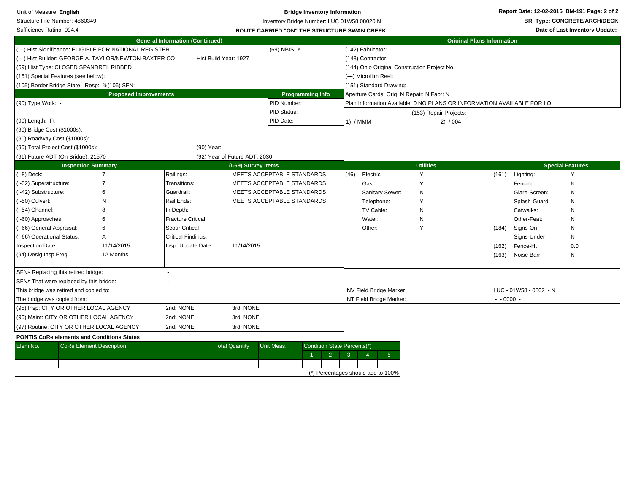| Unit of Measure: English               |                                              |                                                         |                       |                               |                                                    | <b>Bridge Inventory Information</b> |              |                                           |                                                                        |                                     |                        | Report Date: 12-02-2015 BM-191 Page: 2 of 2 |
|----------------------------------------|----------------------------------------------|---------------------------------------------------------|-----------------------|-------------------------------|----------------------------------------------------|-------------------------------------|--------------|-------------------------------------------|------------------------------------------------------------------------|-------------------------------------|------------------------|---------------------------------------------|
|                                        | Structure File Number: 4860349               |                                                         |                       |                               | Inventory Bridge Number: LUC 01W58 08020 N         |                                     |              |                                           |                                                                        | <b>BR. Type: CONCRETE/ARCH/DECK</b> |                        |                                             |
| Sufficiency Rating: 094.4              |                                              |                                                         |                       |                               | <b>ROUTE CARRIED "ON" THE STRUCTURE SWAN CREEK</b> |                                     |              |                                           |                                                                        |                                     |                        | Date of Last Inventory Update:              |
| <b>General Information (Continued)</b> |                                              |                                                         |                       |                               |                                                    |                                     |              |                                           | <b>Original Plans Information</b>                                      |                                     |                        |                                             |
|                                        |                                              | (---) Hist Significance: ELIGIBLE FOR NATIONAL REGISTER |                       |                               | (69) NBIS: Y                                       |                                     |              | (142) Fabricator:                         |                                                                        |                                     |                        |                                             |
|                                        |                                              | (---) Hist Builder: GEORGE A. TAYLOR/NEWTON-BAXTER CO   |                       | Hist Build Year: 1927         |                                                    |                                     |              | (143) Contractor:                         |                                                                        |                                     |                        |                                             |
|                                        | (69) Hist Type: CLOSED SPANDREL RIBBED       |                                                         |                       |                               |                                                    |                                     |              |                                           | (144) Ohio Original Construction Project No:                           |                                     |                        |                                             |
|                                        | (161) Special Features (see below):          |                                                         |                       |                               |                                                    |                                     |              | (---) Microfilm Reel:                     |                                                                        |                                     |                        |                                             |
|                                        | (105) Border Bridge State: Resp: %(106) SFN: |                                                         |                       |                               |                                                    |                                     |              | (151) Standard Drawing:                   |                                                                        |                                     |                        |                                             |
|                                        |                                              | <b>Proposed Improvements</b>                            |                       |                               |                                                    | <b>Programming Info</b>             |              | Aperture Cards: Orig: N Repair: N Fabr: N |                                                                        |                                     |                        |                                             |
| (90) Type Work: -                      |                                              |                                                         |                       |                               | PID Number:                                        |                                     |              |                                           | Plan Information Available: 0 NO PLANS OR INFORMATION AVAILABLE FOR LO |                                     |                        |                                             |
|                                        |                                              |                                                         |                       |                               | PID Status:                                        |                                     |              |                                           | (153) Repair Projects:                                                 |                                     |                        |                                             |
| (90) Length: Ft                        |                                              |                                                         |                       |                               | PID Date:                                          |                                     | 1) / MMM     |                                           | 2) / 004                                                               |                                     |                        |                                             |
| (90) Bridge Cost (\$1000s):            |                                              |                                                         |                       |                               |                                                    |                                     |              |                                           |                                                                        |                                     |                        |                                             |
| (90) Roadway Cost (\$1000s):           |                                              |                                                         |                       |                               |                                                    |                                     |              |                                           |                                                                        |                                     |                        |                                             |
|                                        | (90) Total Project Cost (\$1000s):           |                                                         | (90) Year:            |                               |                                                    |                                     |              |                                           |                                                                        |                                     |                        |                                             |
|                                        | (91) Future ADT (On Bridge): 21570           |                                                         |                       | (92) Year of Future ADT: 2030 |                                                    |                                     |              |                                           |                                                                        |                                     |                        |                                             |
|                                        | <b>Inspection Summary</b>                    |                                                         |                       | (I-69) Survey Items           |                                                    |                                     |              |                                           | <b>Utilities</b>                                                       |                                     |                        | <b>Special Features</b>                     |
| $(I-8)$ Deck:                          |                                              | $\overline{7}$                                          | Railings:             |                               | MEETS ACCEPTABLE STANDARDS                         |                                     | (46)         | Electric:                                 | Y                                                                      |                                     | $(161)$ Lighting:      | Y                                           |
| (I-32) Superstructure:                 |                                              | $\overline{7}$                                          | Transitions:          |                               | MEETS ACCEPTABLE STANDARDS                         |                                     |              | Gas:                                      | Y                                                                      |                                     | Fencing:               | N                                           |
| (I-42) Substructure:                   |                                              | 6                                                       | Guardrail:            |                               | MEETS ACCEPTABLE STANDARDS                         |                                     |              | Sanitary Sewer:                           | ${\sf N}$                                                              |                                     | Glare-Screen:          | N                                           |
| (I-50) Culvert:                        |                                              | N                                                       | Rail Ends:            |                               | MEETS ACCEPTABLE STANDARDS                         |                                     |              | Telephone:                                | Υ                                                                      |                                     | Splash-Guard:          | N                                           |
| (I-54) Channel:                        |                                              |                                                         | In Depth:             |                               |                                                    |                                     |              | TV Cable:                                 | N                                                                      |                                     | Catwalks:              | N                                           |
| (I-60) Approaches:                     |                                              |                                                         | Fracture Critical:    |                               |                                                    |                                     |              | Water:                                    | N                                                                      |                                     | Other-Feat:            | N                                           |
| (I-66) General Appraisal:              |                                              | 6                                                       | <b>Scour Critical</b> |                               |                                                    |                                     |              | Other:                                    | Y                                                                      | (184)                               | Signs-On:              | N                                           |
| (I-66) Operational Status:             |                                              | Α                                                       | Critical Findings:    |                               |                                                    |                                     |              |                                           |                                                                        |                                     | Signs-Under            | N                                           |
| Inspection Date:                       |                                              | 11/14/2015                                              | Insp. Update Date:    | 11/14/2015                    |                                                    |                                     |              |                                           |                                                                        | (162)                               | Fence-Ht               | 0.0                                         |
| (94) Desig Insp Freq                   |                                              | 12 Months                                               |                       |                               |                                                    |                                     |              |                                           |                                                                        | (163)                               | Noise Barr             | N                                           |
|                                        | SFNs Replacing this retired bridge:          |                                                         |                       |                               |                                                    |                                     |              |                                           |                                                                        |                                     |                        |                                             |
|                                        | SFNs That were replaced by this bridge:      |                                                         |                       |                               |                                                    |                                     |              |                                           |                                                                        |                                     |                        |                                             |
|                                        | This bridge was retired and copied to:       |                                                         |                       |                               |                                                    |                                     |              | INV Field Bridge Marker:                  |                                                                        |                                     | LUC - 01W58 - 0802 - N |                                             |
| The bridge was copied from:            |                                              |                                                         |                       |                               |                                                    |                                     |              | <b>INT Field Bridge Marker:</b>           |                                                                        | $- 0000 -$                          |                        |                                             |
|                                        | (95) Insp: CITY OR OTHER LOCAL AGENCY        |                                                         | 2nd: NONE             | 3rd: NONE                     |                                                    |                                     |              |                                           |                                                                        |                                     |                        |                                             |
|                                        | (96) Maint: CITY OR OTHER LOCAL AGENCY       |                                                         | 2nd: NONE             | 3rd: NONE                     |                                                    |                                     |              |                                           |                                                                        |                                     |                        |                                             |
|                                        | (97) Routine: CITY OR OTHER LOCAL AGENCY     |                                                         | 2nd: NONE             | 3rd: NONE                     |                                                    |                                     |              |                                           |                                                                        |                                     |                        |                                             |
|                                        |                                              | <b>PONTIS CoRe elements and Conditions States</b>       |                       |                               |                                                    |                                     |              |                                           |                                                                        |                                     |                        |                                             |
| Elem No.                               | <b>CoRe Element Description</b>              |                                                         |                       | <b>Total Quantity</b>         | Unit Meas.                                         | Condition State Percents(*)         |              |                                           |                                                                        |                                     |                        |                                             |
|                                        |                                              |                                                         |                       |                               |                                                    | 2<br>-1                             | $\mathbf{3}$ | 5 <sup>1</sup><br>$\overline{4}$          |                                                                        |                                     |                        |                                             |
|                                        |                                              |                                                         |                       |                               |                                                    |                                     |              |                                           |                                                                        |                                     |                        |                                             |
|                                        |                                              |                                                         |                       |                               |                                                    |                                     |              | (*) Percentages should add to 100%        |                                                                        |                                     |                        |                                             |